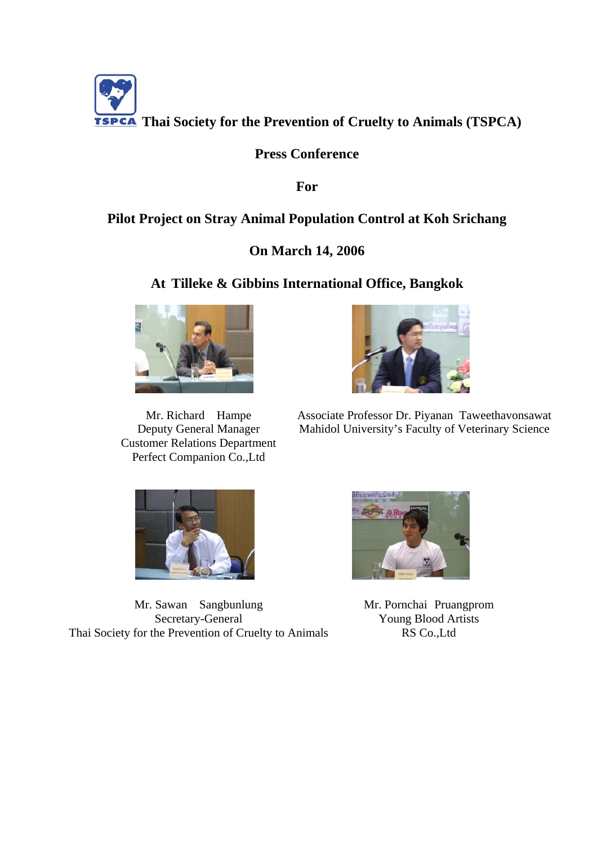

## **Press Conference**

**For** 

# **Pilot Project on Stray Animal Population Control at Koh Srichang**

## **On March 14, 2006**

#### **At Tilleke & Gibbins International Office, Bangkok**



Mr. Richard Hampe Deputy General Manager Customer Relations Department Perfect Companion Co.,Ltd



Associate Professor Dr. Piyanan Taweethavonsawat Mahidol University's Faculty of Veterinary Science



Mr. Sawan Sangbunlung Secretary-General Thai Society for the Prevention of Cruelty to Animals



Mr. Pornchai Pruangprom Young Blood Artists RS Co.,Ltd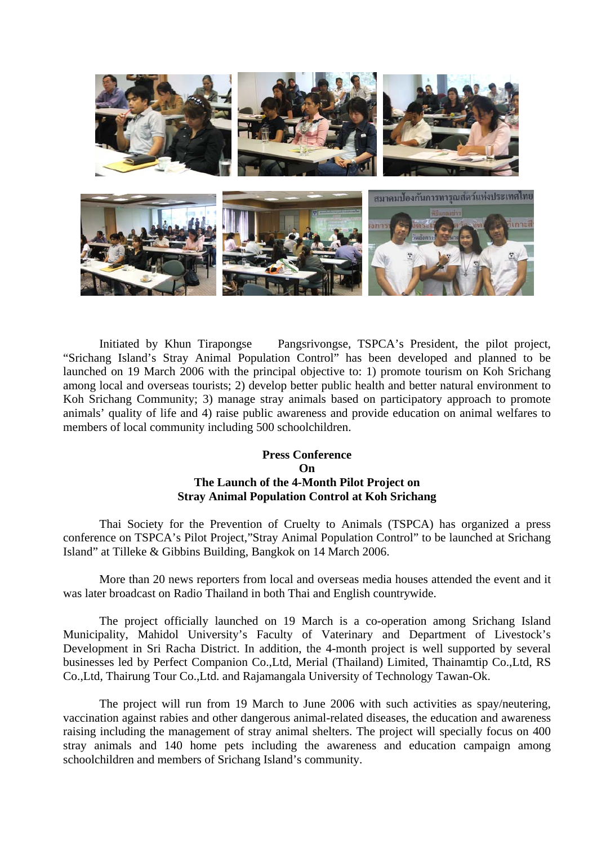

Initiated by Khun Tirapongse Pangsrivongse, TSPCA's President, the pilot project, "Srichang Island's Stray Animal Population Control" has been developed and planned to be launched on 19 March 2006 with the principal objective to: 1) promote tourism on Koh Srichang among local and overseas tourists; 2) develop better public health and better natural environment to Koh Srichang Community; 3) manage stray animals based on participatory approach to promote animals' quality of life and 4) raise public awareness and provide education on animal welfares to members of local community including 500 schoolchildren.

#### **Press Conference On The Launch of the 4-Month Pilot Project on Stray Animal Population Control at Koh Srichang**

Thai Society for the Prevention of Cruelty to Animals (TSPCA) has organized a press conference on TSPCA's Pilot Project,"Stray Animal Population Control" to be launched at Srichang Island" at Tilleke & Gibbins Building, Bangkok on 14 March 2006.

More than 20 news reporters from local and overseas media houses attended the event and it was later broadcast on Radio Thailand in both Thai and English countrywide.

The project officially launched on 19 March is a co-operation among Srichang Island Municipality, Mahidol University's Faculty of Vaterinary and Department of Livestock's Development in Sri Racha District. In addition, the 4-month project is well supported by several businesses led by Perfect Companion Co.,Ltd, Merial (Thailand) Limited, Thainamtip Co.,Ltd, RS Co.,Ltd, Thairung Tour Co.,Ltd. and Rajamangala University of Technology Tawan-Ok.

The project will run from 19 March to June 2006 with such activities as spay/neutering, vaccination against rabies and other dangerous animal-related diseases, the education and awareness raising including the management of stray animal shelters. The project will specially focus on 400 stray animals and 140 home pets including the awareness and education campaign among schoolchildren and members of Srichang Island's community.